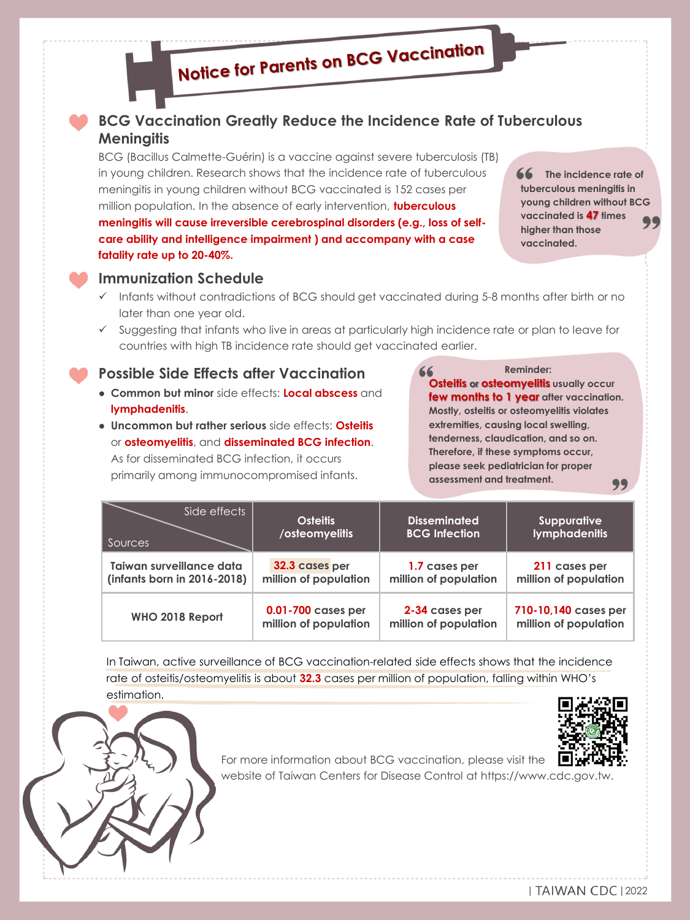# **Notice for Parents on BCG Vaccination**

#### **BCG Vaccination Greatly Reduce the Incidence Rate of Tuberculous Meningitis**

BCG (Bacillus Calmette-Guérin) is a vaccine against severe tuberculosis (TB) in young children. Research shows that the incidence rate of tuberculous meningitis in young children without BCG vaccinated is 152 cases per million population. In the absence of early intervention, **tuberculous meningitis will cause irreversible cerebrospinal disorders (e.g., loss of selfcare ability and intelligence impairment ) and accompany with a case fatality rate up to 20-40%.**

**66** The incidence rate of **tuberculous meningitis in young children without BCG vaccinated is 47 times higher than those vaccinated.**



#### **Immunization Schedule**

- ✓ Infants without contradictions of BCG should get vaccinated during 5-8 months after birth or no later than one year old.
- ✓ Suggesting that infants who live in areas at particularly high incidence rate or plan to leave for countries with high TB incidence rate should get vaccinated earlier.

#### **Possible Side Effects after Vaccination**

- **Common but minor** side effects: **Local abscess** and **lymphadenitis**.
- **Uncommon but rather serious** side effects: **Osteitis** or **osteomyelitis**, and **disseminated BCG infection**. As for disseminated BCG infection, it occurs primarily among immunocompromised infants.

**Reminder: Osteitis or osteomyelitis usually occur few months to 1 year after vaccination. Mostly, osteitis or osteomyelitis violates extremities, causing local swelling, tenderness, claudication, and so on. Therefore, if these symptoms occur, please seek pediatrician for proper assessment and treatment.** 99

| Side effects                | <b>Osteitis</b>       | <b>Disseminated</b>   | <b>Suppurative</b>    |
|-----------------------------|-----------------------|-----------------------|-----------------------|
| Sources                     | /osteomyelitis        | <b>BCG Infection</b>  | <b>lymphadenitis</b>  |
| Taiwan surveillance data    | 32.3 cases per        | 1.7 cases per         | 211 cases per         |
| (infants born in 2016-2018) | million of population | million of population | million of population |
| WHO 2018 Report             | 0.01-700 cases per    | 2-34 cases per        | 710-10,140 cases per  |
|                             | million of population | million of population | million of population |

In Taiwan, active surveillance of BCG vaccination-related side effects shows that the incidence rate of osteitis/osteomyelitis is about **32.3** cases per million of population, falling within WHO's estimation.



For more information about BCG vaccination, please visit the website of Taiwan Centers for Disease Control at https://www.cdc.gov.tw.